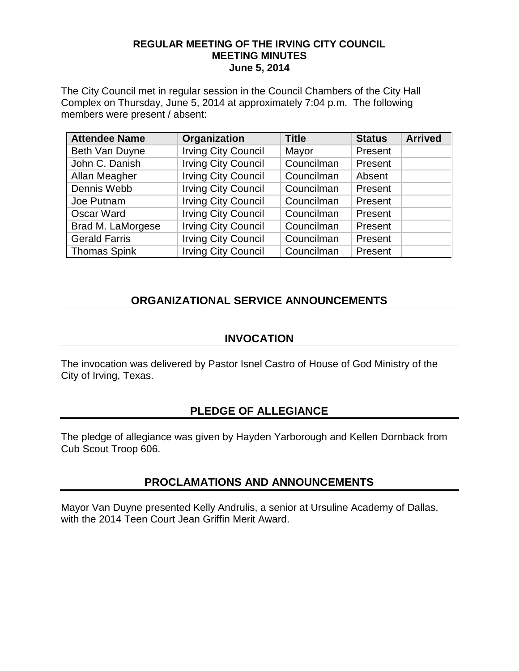#### **REGULAR MEETING OF THE IRVING CITY COUNCIL MEETING MINUTES June 5, 2014**

The City Council met in regular session in the Council Chambers of the City Hall Complex on Thursday, June 5, 2014 at approximately 7:04 p.m. The following members were present / absent:

| <b>Attendee Name</b> | Organization               | <b>Title</b> | <b>Status</b> | <b>Arrived</b> |
|----------------------|----------------------------|--------------|---------------|----------------|
| Beth Van Duyne       | <b>Irving City Council</b> | Mayor        | Present       |                |
| John C. Danish       | <b>Irving City Council</b> | Councilman   | Present       |                |
| Allan Meagher        | <b>Irving City Council</b> | Councilman   | Absent        |                |
| Dennis Webb          | <b>Irving City Council</b> | Councilman   | Present       |                |
| Joe Putnam           | <b>Irving City Council</b> | Councilman   | Present       |                |
| <b>Oscar Ward</b>    | <b>Irving City Council</b> | Councilman   | Present       |                |
| Brad M. LaMorgese    | <b>Irving City Council</b> | Councilman   | Present       |                |
| <b>Gerald Farris</b> | <b>Irving City Council</b> | Councilman   | Present       |                |
| <b>Thomas Spink</b>  | <b>Irving City Council</b> | Councilman   | Present       |                |

## **ORGANIZATIONAL SERVICE ANNOUNCEMENTS**

### **INVOCATION**

The invocation was delivered by Pastor Isnel Castro of House of God Ministry of the City of Irving, Texas.

## **PLEDGE OF ALLEGIANCE**

The pledge of allegiance was given by Hayden Yarborough and Kellen Dornback from Cub Scout Troop 606.

## **PROCLAMATIONS AND ANNOUNCEMENTS**

Mayor Van Duyne presented Kelly Andrulis, a senior at Ursuline Academy of Dallas, with the 2014 Teen Court Jean Griffin Merit Award.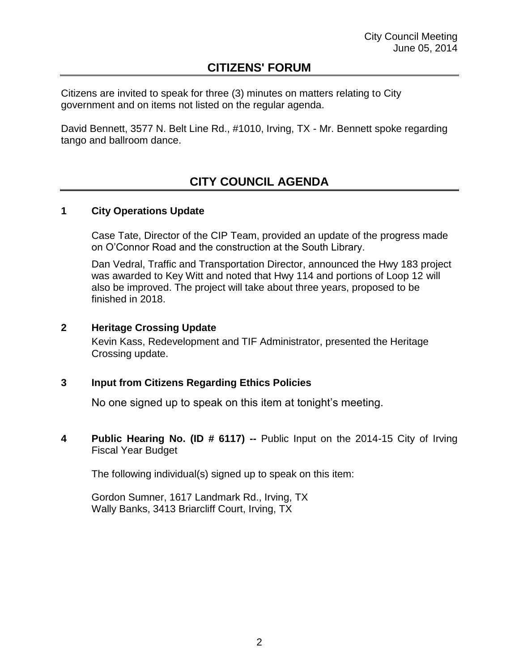## **CITIZENS' FORUM**

Citizens are invited to speak for three (3) minutes on matters relating to City government and on items not listed on the regular agenda.

David Bennett, 3577 N. Belt Line Rd., #1010, Irving, TX - Mr. Bennett spoke regarding tango and ballroom dance.

# **CITY COUNCIL AGENDA**

#### **1 City Operations Update**

Case Tate, Director of the CIP Team, provided an update of the progress made on O'Connor Road and the construction at the South Library.

Dan Vedral, Traffic and Transportation Director, announced the Hwy 183 project was awarded to Key Witt and noted that Hwy 114 and portions of Loop 12 will also be improved. The project will take about three years, proposed to be finished in 2018.

#### **2 Heritage Crossing Update**

Kevin Kass, Redevelopment and TIF Administrator, presented the Heritage Crossing update.

#### **3 Input from Citizens Regarding Ethics Policies**

No one signed up to speak on this item at tonight's meeting.

**4 Public Hearing No. (ID # 6117) --** Public Input on the 2014-15 City of Irving Fiscal Year Budget

The following individual(s) signed up to speak on this item:

Gordon Sumner, 1617 Landmark Rd., Irving, TX Wally Banks, 3413 Briarcliff Court, Irving, TX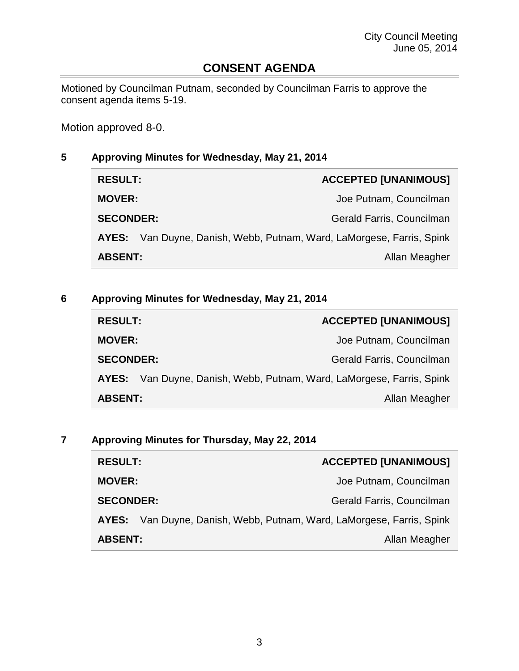## **CONSENT AGENDA**

Motioned by Councilman Putnam, seconded by Councilman Farris to approve the consent agenda items 5-19.

Motion approved 8-0.

## **5 Approving Minutes for Wednesday, May 21, 2014**

| <b>RESULT:</b>   |                                                                       | <b>ACCEPTED [UNANIMOUS]</b> |
|------------------|-----------------------------------------------------------------------|-----------------------------|
| <b>MOVER:</b>    |                                                                       | Joe Putnam, Councilman      |
| <b>SECONDER:</b> |                                                                       | Gerald Farris, Councilman   |
|                  | AYES: Van Duyne, Danish, Webb, Putnam, Ward, LaMorgese, Farris, Spink |                             |
| <b>ABSENT:</b>   |                                                                       | Allan Meagher               |

### **6 Approving Minutes for Wednesday, May 21, 2014**

| <b>RESULT:</b>   | <b>ACCEPTED [UNANIMOUS]</b>                                     |
|------------------|-----------------------------------------------------------------|
| <b>MOVER:</b>    | Joe Putnam, Councilman                                          |
| <b>SECONDER:</b> | Gerald Farris, Councilman                                       |
| AYES:            | Van Duyne, Danish, Webb, Putnam, Ward, LaMorgese, Farris, Spink |
| <b>ABSENT:</b>   | Allan Meagher                                                   |

### **7 Approving Minutes for Thursday, May 22, 2014**

| <b>RESULT:</b>   | <b>ACCEPTED [UNANIMOUS]</b>                                     |
|------------------|-----------------------------------------------------------------|
| <b>MOVER:</b>    | Joe Putnam, Councilman                                          |
| <b>SECONDER:</b> | Gerald Farris, Councilman                                       |
| AYES:            | Van Duyne, Danish, Webb, Putnam, Ward, LaMorgese, Farris, Spink |
| <b>ABSENT:</b>   | Allan Meagher                                                   |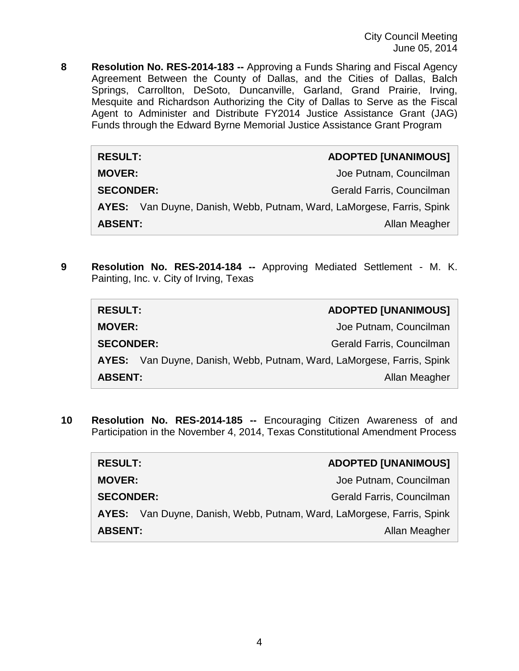City Council Meeting June 05, 2014

**8 Resolution No. RES-2014-183 --** Approving a Funds Sharing and Fiscal Agency Agreement Between the County of Dallas, and the Cities of Dallas, Balch Springs, Carrollton, DeSoto, Duncanville, Garland, Grand Prairie, Irving, Mesquite and Richardson Authorizing the City of Dallas to Serve as the Fiscal Agent to Administer and Distribute FY2014 Justice Assistance Grant (JAG) Funds through the Edward Byrne Memorial Justice Assistance Grant Program

| <b>RESULT:</b>   | <b>ADOPTED [UNANIMOUS]</b>                                            |
|------------------|-----------------------------------------------------------------------|
| <b>MOVER:</b>    | Joe Putnam, Councilman                                                |
| <b>SECONDER:</b> | Gerald Farris, Councilman                                             |
|                  | AYES: Van Duyne, Danish, Webb, Putnam, Ward, LaMorgese, Farris, Spink |
| <b>ABSENT:</b>   | Allan Meagher                                                         |

**9 Resolution No. RES-2014-184 --** Approving Mediated Settlement - M. K. Painting, Inc. v. City of Irving, Texas

| <b>RESULT:</b>   | <b>ADOPTED [UNANIMOUS]</b>                                            |
|------------------|-----------------------------------------------------------------------|
| <b>MOVER:</b>    | Joe Putnam, Councilman                                                |
| <b>SECONDER:</b> | Gerald Farris, Councilman                                             |
|                  | AYES: Van Duyne, Danish, Webb, Putnam, Ward, LaMorgese, Farris, Spink |
| <b>ABSENT:</b>   | Allan Meagher                                                         |

**10 Resolution No. RES-2014-185 --** Encouraging Citizen Awareness of and Participation in the November 4, 2014, Texas Constitutional Amendment Process

| <b>RESULT:</b>   | <b>ADOPTED [UNANIMOUS]</b>                                            |
|------------------|-----------------------------------------------------------------------|
| <b>MOVER:</b>    | Joe Putnam, Councilman                                                |
| <b>SECONDER:</b> | Gerald Farris, Councilman                                             |
|                  | AYES: Van Duyne, Danish, Webb, Putnam, Ward, LaMorgese, Farris, Spink |
| <b>ABSENT:</b>   | Allan Meagher                                                         |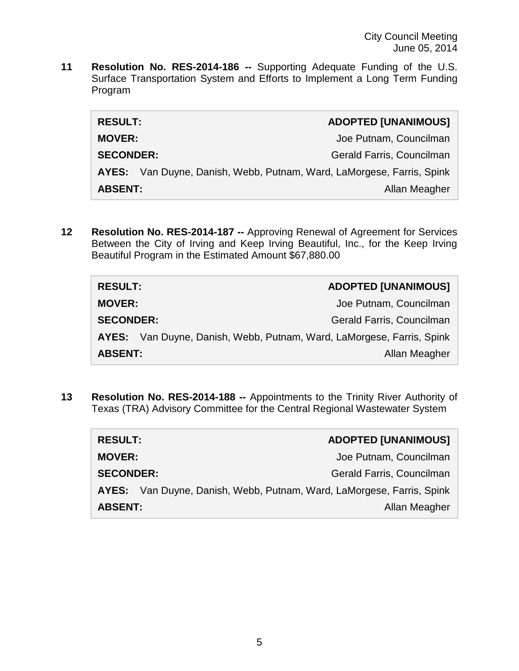**11 Resolution No. RES-2014-186 --** Supporting Adequate Funding of the U.S. Surface Transportation System and Efforts to Implement a Long Term Funding Program

| <b>RESULT:</b>   |                                                                       | <b>ADOPTED [UNANIMOUS]</b> |
|------------------|-----------------------------------------------------------------------|----------------------------|
| <b>MOVER:</b>    |                                                                       | Joe Putnam, Councilman     |
| <b>SECONDER:</b> |                                                                       | Gerald Farris, Councilman  |
|                  | AYES: Van Duyne, Danish, Webb, Putnam, Ward, LaMorgese, Farris, Spink |                            |
| <b>ABSENT:</b>   |                                                                       | Allan Meagher              |

**12 Resolution No. RES-2014-187 --** Approving Renewal of Agreement for Services Between the City of Irving and Keep Irving Beautiful, Inc., for the Keep Irving Beautiful Program in the Estimated Amount \$67,880.00

| <b>RESULT:</b>   | <b>ADOPTED [UNANIMOUS]</b>                                            |
|------------------|-----------------------------------------------------------------------|
| <b>MOVER:</b>    | Joe Putnam, Councilman                                                |
| <b>SECONDER:</b> | Gerald Farris, Councilman                                             |
|                  | AYES: Van Duyne, Danish, Webb, Putnam, Ward, LaMorgese, Farris, Spink |
| <b>ABSENT:</b>   | Allan Meagher                                                         |

**13 Resolution No. RES-2014-188 --** Appointments to the Trinity River Authority of Texas (TRA) Advisory Committee for the Central Regional Wastewater System

| <b>RESULT:</b>   | <b>ADOPTED [UNANIMOUS]</b>                                            |
|------------------|-----------------------------------------------------------------------|
| <b>MOVER:</b>    | Joe Putnam, Councilman                                                |
| <b>SECONDER:</b> | Gerald Farris, Councilman                                             |
|                  | AYES: Van Duyne, Danish, Webb, Putnam, Ward, LaMorgese, Farris, Spink |
| <b>ABSENT:</b>   | Allan Meagher                                                         |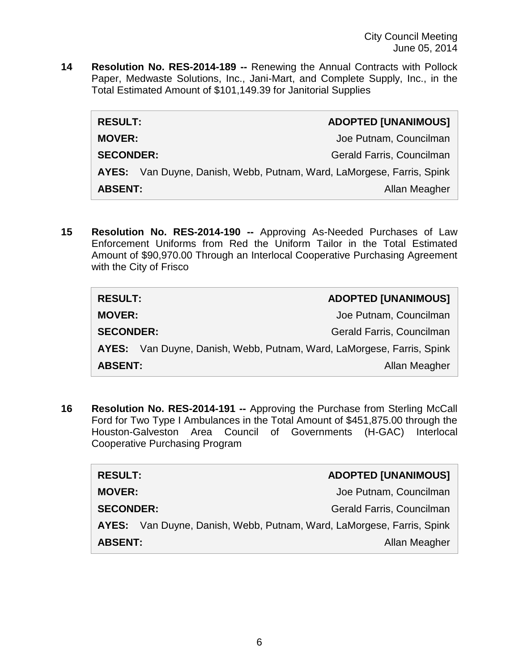**14 Resolution No. RES-2014-189 --** Renewing the Annual Contracts with Pollock Paper, Medwaste Solutions, Inc., Jani-Mart, and Complete Supply, Inc., in the Total Estimated Amount of \$101,149.39 for Janitorial Supplies

| <b>RESULT:</b>                                                        | <b>ADOPTED [UNANIMOUS]</b> |
|-----------------------------------------------------------------------|----------------------------|
| <b>MOVER:</b>                                                         | Joe Putnam, Councilman     |
| <b>SECONDER:</b>                                                      | Gerald Farris, Councilman  |
| AYES: Van Duyne, Danish, Webb, Putnam, Ward, LaMorgese, Farris, Spink |                            |
| <b>ABSENT:</b>                                                        | Allan Meagher              |

**15 Resolution No. RES-2014-190 --** Approving As-Needed Purchases of Law Enforcement Uniforms from Red the Uniform Tailor in the Total Estimated Amount of \$90,970.00 Through an Interlocal Cooperative Purchasing Agreement with the City of Frisco

| <b>RESULT:</b>   | <b>ADOPTED [UNANIMOUS]</b>                                            |
|------------------|-----------------------------------------------------------------------|
| <b>MOVER:</b>    | Joe Putnam, Councilman                                                |
| <b>SECONDER:</b> | Gerald Farris, Councilman                                             |
|                  | AYES: Van Duyne, Danish, Webb, Putnam, Ward, LaMorgese, Farris, Spink |
| <b>ABSENT:</b>   | Allan Meagher                                                         |

**16 Resolution No. RES-2014-191 --** Approving the Purchase from Sterling McCall Ford for Two Type I Ambulances in the Total Amount of \$451,875.00 through the Houston-Galveston Area Council of Governments (H-GAC) Interlocal Cooperative Purchasing Program

| <b>RESULT:</b>                  |  | <b>ADOPTED [UNANIMOUS]</b>                                            |
|---------------------------------|--|-----------------------------------------------------------------------|
| <b>MOVER:</b>                   |  | Joe Putnam, Councilman                                                |
| <b>SECONDER:</b>                |  | Gerald Farris, Councilman                                             |
|                                 |  | AYES: Van Duyne, Danish, Webb, Putnam, Ward, LaMorgese, Farris, Spink |
| <b>ABSENT:</b><br>Allan Meagher |  |                                                                       |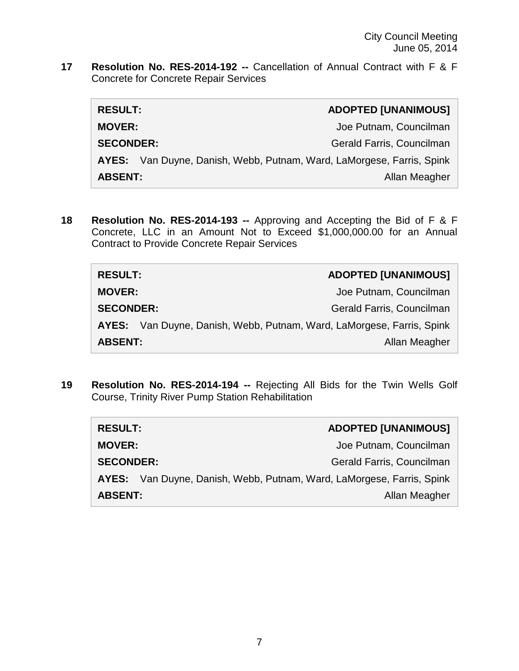**17 Resolution No. RES-2014-192 --** Cancellation of Annual Contract with F & F Concrete for Concrete Repair Services

| <b>RESULT:</b>                  |                                                                       | <b>ADOPTED [UNANIMOUS]</b> |
|---------------------------------|-----------------------------------------------------------------------|----------------------------|
| <b>MOVER:</b>                   |                                                                       | Joe Putnam, Councilman     |
| <b>SECONDER:</b>                |                                                                       | Gerald Farris, Councilman  |
|                                 | AYES: Van Duyne, Danish, Webb, Putnam, Ward, LaMorgese, Farris, Spink |                            |
| <b>ABSENT:</b><br>Allan Meagher |                                                                       |                            |

**18 Resolution No. RES-2014-193 --** Approving and Accepting the Bid of F & F Concrete, LLC in an Amount Not to Exceed \$1,000,000.00 for an Annual Contract to Provide Concrete Repair Services

| <b>RESULT:</b>                  | <b>ADOPTED [UNANIMOUS]</b>                                            |
|---------------------------------|-----------------------------------------------------------------------|
| <b>MOVER:</b>                   | Joe Putnam, Councilman                                                |
| <b>SECONDER:</b>                | Gerald Farris, Councilman                                             |
|                                 | AYES: Van Duyne, Danish, Webb, Putnam, Ward, LaMorgese, Farris, Spink |
| <b>ABSENT:</b><br>Allan Meagher |                                                                       |

**19 Resolution No. RES-2014-194 --** Rejecting All Bids for the Twin Wells Golf Course, Trinity River Pump Station Rehabilitation

| <b>RESULT:</b>                  |  | <b>ADOPTED [UNANIMOUS]</b>                                            |
|---------------------------------|--|-----------------------------------------------------------------------|
| <b>MOVER:</b>                   |  | Joe Putnam, Councilman                                                |
| <b>SECONDER:</b>                |  | Gerald Farris, Councilman                                             |
|                                 |  | AYES: Van Duyne, Danish, Webb, Putnam, Ward, LaMorgese, Farris, Spink |
| <b>ABSENT:</b><br>Allan Meagher |  |                                                                       |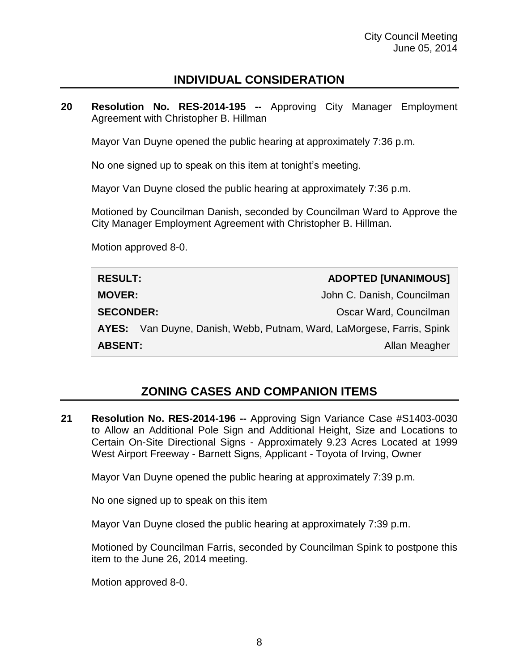## **INDIVIDUAL CONSIDERATION**

**20 Resolution No. RES-2014-195 --** Approving City Manager Employment Agreement with Christopher B. Hillman

Mayor Van Duyne opened the public hearing at approximately 7:36 p.m.

No one signed up to speak on this item at tonight's meeting.

Mayor Van Duyne closed the public hearing at approximately 7:36 p.m.

Motioned by Councilman Danish, seconded by Councilman Ward to Approve the City Manager Employment Agreement with Christopher B. Hillman.

Motion approved 8-0.

| <b>RESULT:</b>                  | <b>ADOPTED [UNANIMOUS]</b>                                            |
|---------------------------------|-----------------------------------------------------------------------|
| <b>MOVER:</b>                   | John C. Danish, Councilman                                            |
| <b>SECONDER:</b>                | Oscar Ward, Councilman                                                |
|                                 | AYES: Van Duyne, Danish, Webb, Putnam, Ward, LaMorgese, Farris, Spink |
| <b>ABSENT:</b><br>Allan Meagher |                                                                       |

## **ZONING CASES AND COMPANION ITEMS**

**21 Resolution No. RES-2014-196 --** Approving Sign Variance Case #S1403-0030 to Allow an Additional Pole Sign and Additional Height, Size and Locations to Certain On-Site Directional Signs - Approximately 9.23 Acres Located at 1999 West Airport Freeway - Barnett Signs, Applicant - Toyota of Irving, Owner

Mayor Van Duyne opened the public hearing at approximately 7:39 p.m.

No one signed up to speak on this item

Mayor Van Duyne closed the public hearing at approximately 7:39 p.m.

Motioned by Councilman Farris, seconded by Councilman Spink to postpone this item to the June 26, 2014 meeting.

Motion approved 8-0.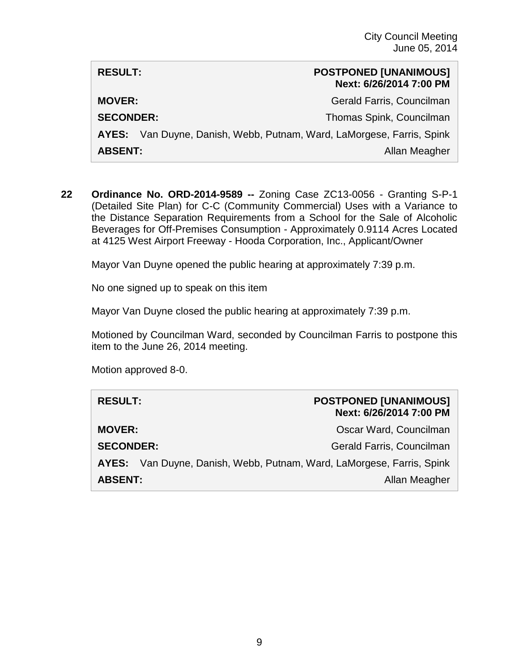| <b>RESULT:</b>                                                        | <b>POSTPONED [UNANIMOUS]</b><br>Next: 6/26/2014 7:00 PM |
|-----------------------------------------------------------------------|---------------------------------------------------------|
| <b>MOVER:</b>                                                         | Gerald Farris, Councilman                               |
| <b>SECONDER:</b>                                                      | Thomas Spink, Councilman                                |
| AYES: Van Duyne, Danish, Webb, Putnam, Ward, LaMorgese, Farris, Spink |                                                         |
| <b>ABSENT:</b><br>Allan Meagher                                       |                                                         |

**22 Ordinance No. ORD-2014-9589 --** Zoning Case ZC13-0056 - Granting S-P-1 (Detailed Site Plan) for C-C (Community Commercial) Uses with a Variance to the Distance Separation Requirements from a School for the Sale of Alcoholic Beverages for Off-Premises Consumption - Approximately 0.9114 Acres Located at 4125 West Airport Freeway - Hooda Corporation, Inc., Applicant/Owner

Mayor Van Duyne opened the public hearing at approximately 7:39 p.m.

No one signed up to speak on this item

Mayor Van Duyne closed the public hearing at approximately 7:39 p.m.

Motioned by Councilman Ward, seconded by Councilman Farris to postpone this item to the June 26, 2014 meeting.

Motion approved 8-0.

| <b>RESULT:</b>                                                        | <b>POSTPONED [UNANIMOUS]</b><br>Next: 6/26/2014 7:00 PM |
|-----------------------------------------------------------------------|---------------------------------------------------------|
| <b>MOVER:</b>                                                         | Oscar Ward, Councilman                                  |
| <b>SECONDER:</b>                                                      | Gerald Farris, Councilman                               |
| AYES: Van Duyne, Danish, Webb, Putnam, Ward, LaMorgese, Farris, Spink |                                                         |
| <b>ABSENT:</b><br>Allan Meagher                                       |                                                         |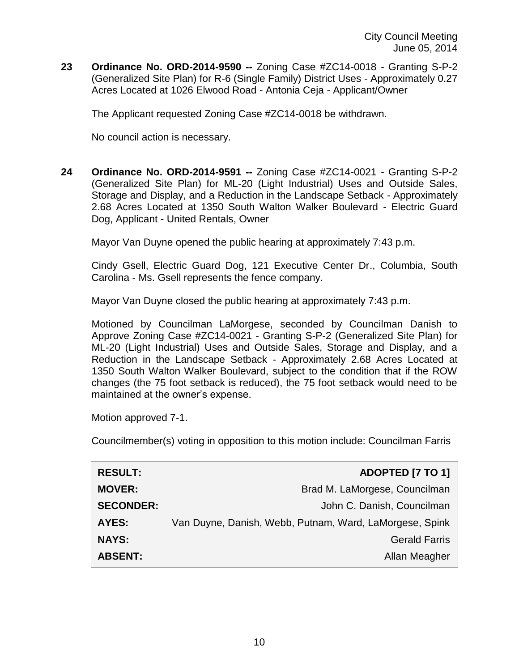**23 Ordinance No. ORD-2014-9590 --** Zoning Case #ZC14-0018 - Granting S-P-2 (Generalized Site Plan) for R-6 (Single Family) District Uses - Approximately 0.27 Acres Located at 1026 Elwood Road - Antonia Ceja - Applicant/Owner

The Applicant requested Zoning Case #ZC14-0018 be withdrawn.

No council action is necessary.

**24 Ordinance No. ORD-2014-9591 --** Zoning Case #ZC14-0021 - Granting S-P-2 (Generalized Site Plan) for ML-20 (Light Industrial) Uses and Outside Sales, Storage and Display, and a Reduction in the Landscape Setback - Approximately 2.68 Acres Located at 1350 South Walton Walker Boulevard - Electric Guard Dog, Applicant - United Rentals, Owner

Mayor Van Duyne opened the public hearing at approximately 7:43 p.m.

Cindy Gsell, Electric Guard Dog, 121 Executive Center Dr., Columbia, South Carolina - Ms. Gsell represents the fence company.

Mayor Van Duyne closed the public hearing at approximately 7:43 p.m.

Motioned by Councilman LaMorgese, seconded by Councilman Danish to Approve Zoning Case #ZC14-0021 - Granting S-P-2 (Generalized Site Plan) for ML-20 (Light Industrial) Uses and Outside Sales, Storage and Display, and a Reduction in the Landscape Setback - Approximately 2.68 Acres Located at 1350 South Walton Walker Boulevard, subject to the condition that if the ROW changes (the 75 foot setback is reduced), the 75 foot setback would need to be maintained at the owner's expense.

Motion approved 7-1.

Councilmember(s) voting in opposition to this motion include: Councilman Farris

| <b>RESULT:</b>   | ADOPTED [7 TO 1]                                        |
|------------------|---------------------------------------------------------|
| <b>MOVER:</b>    | Brad M. LaMorgese, Councilman                           |
| <b>SECONDER:</b> | John C. Danish, Councilman                              |
| <b>AYES:</b>     | Van Duyne, Danish, Webb, Putnam, Ward, LaMorgese, Spink |
| <b>NAYS:</b>     | <b>Gerald Farris</b>                                    |
| <b>ABSENT:</b>   | Allan Meagher                                           |